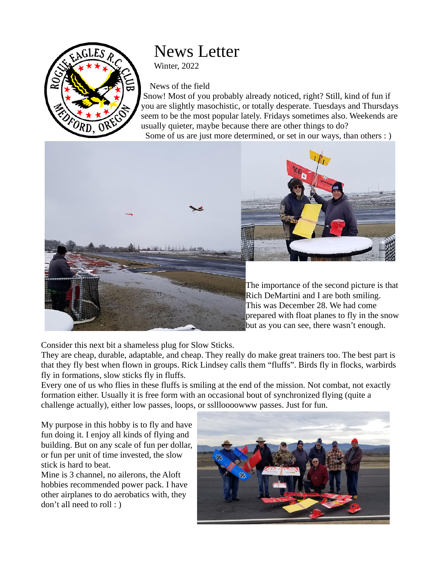

## News Letter

Winter, 2022

## News of the field

 Snow! Most of you probably already noticed, right? Still, kind of fun if you are slightly masochistic, or totally desperate. Tuesdays and Thursdays seem to be the most popular lately. Fridays sometimes also. Weekends are usually quieter, maybe because there are other things to do? Some of us are just more determined, or set in our ways, than others : )





The importance of the second picture is that Rich DeMartini and I are both smiling. This was December 28. We had come prepared with float planes to fly in the snow but as you can see, there wasn't enough.

Consider this next bit a shameless plug for Slow Sticks.

They are cheap, durable, adaptable, and cheap. They really do make great trainers too. The best part is that they fly best when flown in groups. Rick Lindsey calls them "fluffs". Birds fly in flocks, warbirds fly in formations, slow sticks fly in fluffs.

Every one of us who flies in these fluffs is smiling at the end of the mission. Not combat, not exactly formation either. Usually it is free form with an occasional bout of synchronized flying (quite a challenge actually), either low passes, loops, or ssllloooowww passes. Just for fun.

My purpose in this hobby is to fly and have fun doing it. I enjoy all kinds of flying and building. But on any scale of fun per dollar, or fun per unit of time invested, the slow stick is hard to beat.

Mine is 3 channel, no ailerons, the Aloft hobbies recommended power pack. I have other airplanes to do aerobatics with, they don't all need to roll : )

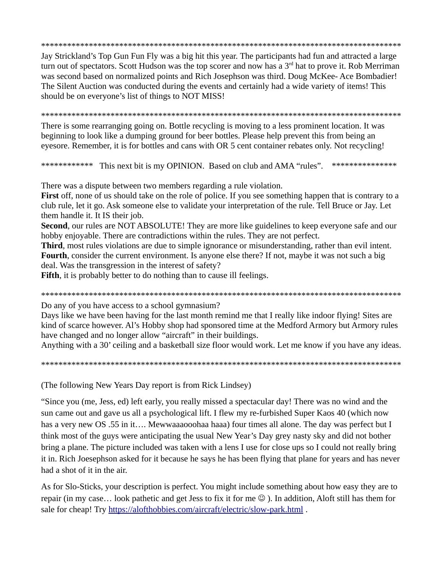Jay Strickland's Top Gun Fun Fly was a big hit this year. The participants had fun and attracted a large turn out of spectators. Scott Hudson was the top scorer and now has a 3<sup>rd</sup> hat to prove it. Rob Merriman was second based on normalized points and Rich Josephson was third. Doug McKee-Ace Bombadier! The Silent Auction was conducted during the events and certainly had a wide variety of items! This should be on everyone's list of things to NOT MISS!

There is some rearranging going on. Bottle recycling is moving to a less prominent location. It was beginning to look like a dumping ground for beer bottles. Please help prevent this from being an eyesore. Remember, it is for bottles and cans with OR 5 cent container rebates only. Not recycling!

\*\*\*\*\*\*\*\*\*\*\*\* This next bit is my OPINION. Based on club and AMA "rules". \*\*\*\*\*\*\*\*\*\*\*\*\*\*\*

There was a dispute between two members regarding a rule violation.

First off, none of us should take on the role of police. If you see something happen that is contrary to a club rule, let it go. Ask someone else to validate your interpretation of the rule. Tell Bruce or Jay. Let them handle it. It IS their job.

Second, our rules are NOT ABSOLUTE! They are more like guidelines to keep everyone safe and our hobby enjoyable. There are contradictions within the rules. They are not perfect.

**Third**, most rules violations are due to simple ignorance or misunderstanding, rather than evil intent. Fourth, consider the current environment. Is anyone else there? If not, maybe it was not such a big deal. Was the transgression in the interest of safety?

**Fifth**, it is probably better to do nothing than to cause ill feelings.

Do any of you have access to a school gymnasium?

Days like we have been having for the last month remind me that I really like indoor flying! Sites are kind of scarce however. Al's Hobby shop had sponsored time at the Medford Armory but Armory rules have changed and no longer allow "aircraft" in their buildings.

Anything with a 30' ceiling and a basketball size floor would work. Let me know if you have any ideas.

(The following New Years Day report is from Rick Lindsey)

"Since you (me, Jess, ed) left early, you really missed a spectacular day! There was no wind and the sun came out and gave us all a psychological lift. I flew my re-furbished Super Kaos 40 (which now has a very new OS .55 in it.... Mewwaaaooohaa haaa) four times all alone. The day was perfect but I think most of the guys were anticipating the usual New Year's Day grey nasty sky and did not bother bring a plane. The picture included was taken with a lens I use for close ups so I could not really bring it in. Rich Joesephson asked for it because he says he has been flying that plane for years and has never had a shot of it in the air.

As for Slo-Sticks, your description is perfect. You might include something about how easy they are to repair (in my case... look pathetic and get Jess to fix it for me  $\odot$  ). In addition, Aloft still has them for sale for cheap! Try https://alofthobbies.com/aircraft/electric/slow-park.html.